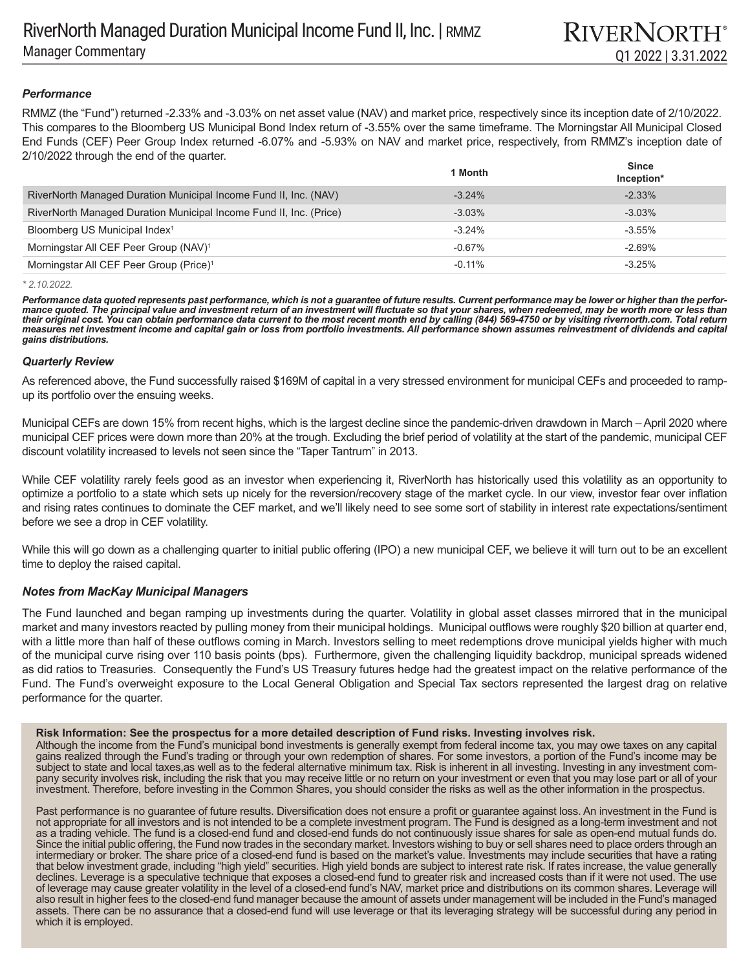# *Performance*

RMMZ (the "Fund") returned -2.33% and -3.03% on net asset value (NAV) and market price, respectively since its inception date of 2/10/2022. This compares to the Bloomberg US Municipal Bond Index return of -3.55% over the same timeframe. The Morningstar All Municipal Closed End Funds (CEF) Peer Group Index returned -6.07% and -5.93% on NAV and market price, respectively, from RMMZ's inception date of 2/10/2022 through the end of the quarter.

|                                                                    | 1 Month  | <b>Since</b><br>Inception* |
|--------------------------------------------------------------------|----------|----------------------------|
| RiverNorth Managed Duration Municipal Income Fund II, Inc. (NAV)   | $-3.24%$ | $-2.33%$                   |
| RiverNorth Managed Duration Municipal Income Fund II, Inc. (Price) | $-3.03%$ | $-3.03%$                   |
| Bloomberg US Municipal Index <sup>1</sup>                          | $-3.24%$ | $-3.55\%$                  |
| Morningstar All CEF Peer Group (NAV) <sup>1</sup>                  | $-0.67%$ | $-2.69%$                   |
| Morningstar All CEF Peer Group (Price) <sup>1</sup>                | $-0.11%$ | $-3.25%$                   |

*<sup>\* 2.10.2022.</sup>* 

*Performance data quoted represents past performance, which is not a guarantee of future results. Current performance may be lower or higher than the performance quoted. The principal value and investment return of an investment will fluctuate so that your shares, when redeemed, may be worth more or less than their original cost. You can obtain performance data current to the most recent month end by calling (844) 569-4750 or by visiting rivernorth.com. Total return measures net investment income and capital gain or loss from portfolio investments. All performance shown assumes reinvestment of dividends and capital gains distributions.*

# *Quarterly Review*

As referenced above, the Fund successfully raised \$169M of capital in a very stressed environment for municipal CEFs and proceeded to rampup its portfolio over the ensuing weeks.

Municipal CEFs are down 15% from recent highs, which is the largest decline since the pandemic-driven drawdown in March – April 2020 where municipal CEF prices were down more than 20% at the trough. Excluding the brief period of volatility at the start of the pandemic, municipal CEF discount volatility increased to levels not seen since the "Taper Tantrum" in 2013.

While CEF volatility rarely feels good as an investor when experiencing it, RiverNorth has historically used this volatility as an opportunity to optimize a portfolio to a state which sets up nicely for the reversion/recovery stage of the market cycle. In our view, investor fear over inflation and rising rates continues to dominate the CEF market, and we'll likely need to see some sort of stability in interest rate expectations/sentiment before we see a drop in CEF volatility.

While this will go down as a challenging quarter to initial public offering (IPO) a new municipal CEF, we believe it will turn out to be an excellent time to deploy the raised capital.

# *Notes from MacKay Municipal Managers*

The Fund launched and began ramping up investments during the quarter. Volatility in global asset classes mirrored that in the municipal market and many investors reacted by pulling money from their municipal holdings. Municipal outflows were roughly \$20 billion at quarter end, with a little more than half of these outflows coming in March. Investors selling to meet redemptions drove municipal yields higher with much of the municipal curve rising over 110 basis points (bps). Furthermore, given the challenging liquidity backdrop, municipal spreads widened as did ratios to Treasuries. Consequently the Fund's US Treasury futures hedge had the greatest impact on the relative performance of the Fund. The Fund's overweight exposure to the Local General Obligation and Special Tax sectors represented the largest drag on relative performance for the quarter.

#### **Risk Information: See the prospectus for a more detailed description of Fund risks. Investing involves risk.**

Although the income from the Fund's municipal bond investments is generally exempt from federal income tax, you may owe taxes on any capital gains realized through the Fund's trading or through your own redemption of shares. For some investors, a portion of the Fund's income may be subject to state and local taxes,as well as to the federal alternative minimum tax. Risk is inherent in all investing. Investing in any investment company security involves risk, including the risk that you may receive little or no return on your investment or even that you may lose part or all of your investment. Therefore, before investing in the Common Shares, you should consider the risks as well as the other information in the prospectus.

Past performance is no guarantee of future results. Diversification does not ensure a profit or guarantee against loss. An investment in the Fund is not appropriate for all investors and is not intended to be a complete investment program. The Fund is designed as a long-term investment and not as a trading vehicle. The fund is a closed-end fund and closed-end funds do not continuously issue shares for sale as open-end mutual funds do. Since the initial public offering, the Fund now trades in the secondary market. Investors wishing to buy or sell shares need to place orders through an intermediary or broker. The share price of a closed-end fund is based on the market's value. Investments may include securities that have a rating that below investment grade, including "high yield" securities. High yield bonds are subject to interest rate risk. If rates increase, the value generally declines. Leverage is a speculative technique that exposes a closed-end fund to greater risk and increased costs than if it were not used. The use of leverage may cause greater volatility in the level of a closed-end fund's NAV, market price and distributions on its common shares. Leverage will also result in higher fees to the closed-end fund manager because the amount of assets under management will be included in the Fund's managed assets. There can be no assurance that a closed-end fund will use leverage or that its leveraging strategy will be successful during any period in which it is employed.